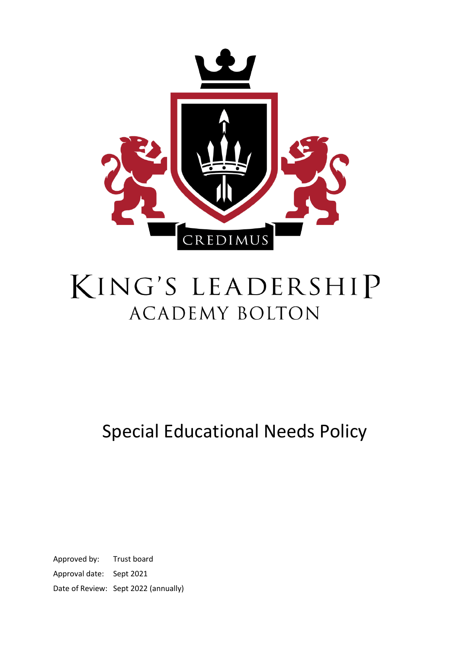

# KING'S LEADERSHIP **ACADEMY BOLTON**

Special Educational Needs Policy

Approved by: Trust board Approval date: Sept 2021 Date of Review: Sept 2022 (annually)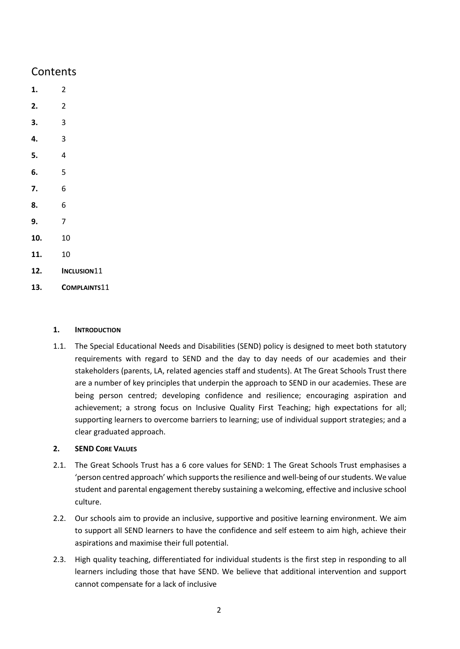### Contents

- **[1.](#page-1-0)** 2
- **[2.](#page-1-1)** 2
- **[3.](#page-2-0)** 3
- **[4.](#page-2-1)** 3
- **[5.](#page-3-0)** 4
- **[6.](#page-4-0)** 5
- **[7.](#page-5-0)** 6
- **[8.](#page-5-1)** 6
- **[9.](#page-6-0)** 7
- **[10.](#page-9-0)** 10
- **[11.](#page-9-1)** 10
- **12. I[NCLUSION](#page-10-0)**11
- **13. C[OMPLAINTS](#page-10-1)**11

#### <span id="page-1-0"></span>**1. INTRODUCTION**

1.1. The Special Educational Needs and Disabilities (SEND) policy is designed to meet both statutory requirements with regard to SEND and the day to day needs of our academies and their stakeholders (parents, LA, related agencies staff and students). At The Great Schools Trust there are a number of key principles that underpin the approach to SEND in our academies. These are being person centred; developing confidence and resilience; encouraging aspiration and achievement; a strong focus on Inclusive Quality First Teaching; high expectations for all; supporting learners to overcome barriers to learning; use of individual support strategies; and a clear graduated approach.

#### <span id="page-1-1"></span>**2. SEND CORE VALUES**

- 2.1. The Great Schools Trust has a 6 core values for SEND: 1 The Great Schools Trust emphasises a 'person centred approach' which supports the resilience and well-being of our students. We value student and parental engagement thereby sustaining a welcoming, effective and inclusive school culture.
- 2.2. Our schools aim to provide an inclusive, supportive and positive learning environment. We aim to support all SEND learners to have the confidence and self esteem to aim high, achieve their aspirations and maximise their full potential.
- 2.3. High quality teaching, differentiated for individual students is the first step in responding to all learners including those that have SEND. We believe that additional intervention and support cannot compensate for a lack of inclusive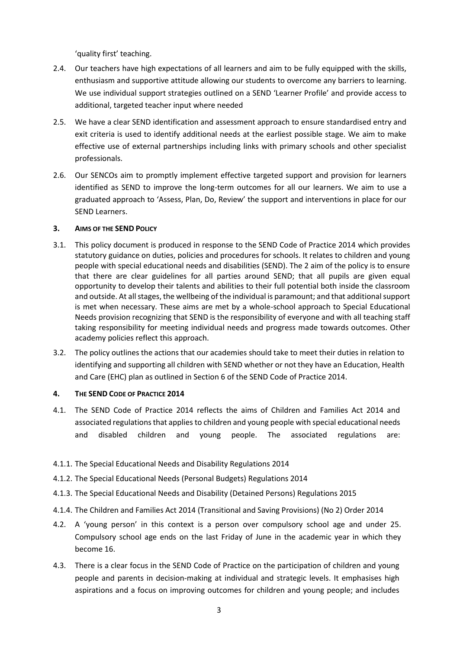'quality first' teaching.

- 2.4. Our teachers have high expectations of all learners and aim to be fully equipped with the skills, enthusiasm and supportive attitude allowing our students to overcome any barriers to learning. We use individual support strategies outlined on a SEND 'Learner Profile' and provide access to additional, targeted teacher input where needed
- 2.5. We have a clear SEND identification and assessment approach to ensure standardised entry and exit criteria is used to identify additional needs at the earliest possible stage. We aim to make effective use of external partnerships including links with primary schools and other specialist professionals.
- 2.6. Our SENCOs aim to promptly implement effective targeted support and provision for learners identified as SEND to improve the long-term outcomes for all our learners. We aim to use a graduated approach to 'Assess, Plan, Do, Review' the support and interventions in place for our SEND Learners.

#### <span id="page-2-0"></span>**3. AIMS OF THE SEND POLICY**

- 3.1. This policy document is produced in response to the SEND Code of Practice 2014 which provides statutory guidance on duties, policies and procedures for schools. It relates to children and young people with special educational needs and disabilities (SEND). The 2 aim of the policy is to ensure that there are clear guidelines for all parties around SEND; that all pupils are given equal opportunity to develop their talents and abilities to their full potential both inside the classroom and outside. At all stages, the wellbeing of the individual is paramount; and that additional support is met when necessary. These aims are met by a whole-school approach to Special Educational Needs provision recognizing that SEND is the responsibility of everyone and with all teaching staff taking responsibility for meeting individual needs and progress made towards outcomes. Other academy policies reflect this approach.
- 3.2. The policy outlines the actions that our academies should take to meet their duties in relation to identifying and supporting all children with SEND whether or not they have an Education, Health and Care (EHC) plan as outlined in Section 6 of the SEND Code of Practice 2014.

#### <span id="page-2-1"></span>**4. THE SEND CODE OF PRACTICE 2014**

- 4.1. The SEND Code of Practice 2014 reflects the aims of Children and Families Act 2014 and associated regulations that applies to children and young people with special educational needs and disabled children and young people. The associated regulations are:
- 4.1.1. The Special Educational Needs and Disability Regulations 2014
- 4.1.2. The Special Educational Needs (Personal Budgets) Regulations 2014
- 4.1.3. The Special Educational Needs and Disability (Detained Persons) Regulations 2015
- 4.1.4. The Children and Families Act 2014 (Transitional and Saving Provisions) (No 2) Order 2014
- 4.2. A 'young person' in this context is a person over compulsory school age and under 25. Compulsory school age ends on the last Friday of June in the academic year in which they become 16.
- 4.3. There is a clear focus in the SEND Code of Practice on the participation of children and young people and parents in decision-making at individual and strategic levels. It emphasises high aspirations and a focus on improving outcomes for children and young people; and includes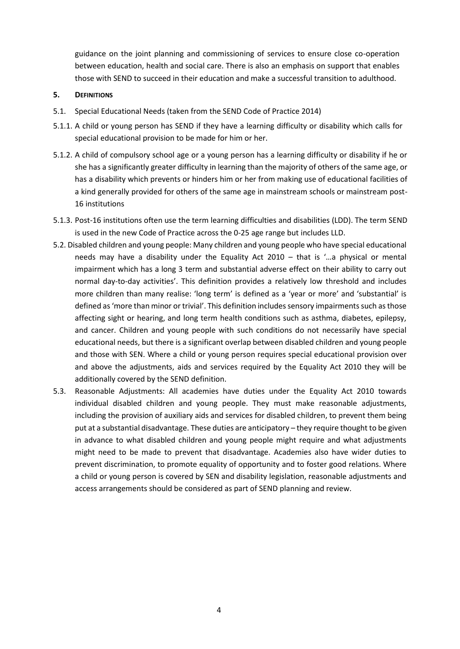guidance on the joint planning and commissioning of services to ensure close co-operation between education, health and social care. There is also an emphasis on support that enables those with SEND to succeed in their education and make a successful transition to adulthood.

#### <span id="page-3-0"></span>**5. DEFINITIONS**

- 5.1. Special Educational Needs (taken from the SEND Code of Practice 2014)
- 5.1.1. A child or young person has SEND if they have a learning difficulty or disability which calls for special educational provision to be made for him or her.
- 5.1.2. A child of compulsory school age or a young person has a learning difficulty or disability if he or she has a significantly greater difficulty in learning than the majority of others of the same age, or has a disability which prevents or hinders him or her from making use of educational facilities of a kind generally provided for others of the same age in mainstream schools or mainstream post-16 institutions
- 5.1.3. Post-16 institutions often use the term learning difficulties and disabilities (LDD). The term SEND is used in the new Code of Practice across the 0-25 age range but includes LLD.
- 5.2. Disabled children and young people: Many children and young people who have special educational needs may have a disability under the Equality Act 2010 – that is '…a physical or mental impairment which has a long 3 term and substantial adverse effect on their ability to carry out normal day-to-day activities'. This definition provides a relatively low threshold and includes more children than many realise: 'long term' is defined as a 'year or more' and 'substantial' is defined as 'more than minor or trivial'. This definition includes sensory impairments such as those affecting sight or hearing, and long term health conditions such as asthma, diabetes, epilepsy, and cancer. Children and young people with such conditions do not necessarily have special educational needs, but there is a significant overlap between disabled children and young people and those with SEN. Where a child or young person requires special educational provision over and above the adjustments, aids and services required by the Equality Act 2010 they will be additionally covered by the SEND definition.
- 5.3. Reasonable Adjustments: All academies have duties under the Equality Act 2010 towards individual disabled children and young people. They must make reasonable adjustments, including the provision of auxiliary aids and services for disabled children, to prevent them being put at a substantial disadvantage. These duties are anticipatory – they require thought to be given in advance to what disabled children and young people might require and what adjustments might need to be made to prevent that disadvantage. Academies also have wider duties to prevent discrimination, to promote equality of opportunity and to foster good relations. Where a child or young person is covered by SEN and disability legislation, reasonable adjustments and access arrangements should be considered as part of SEND planning and review.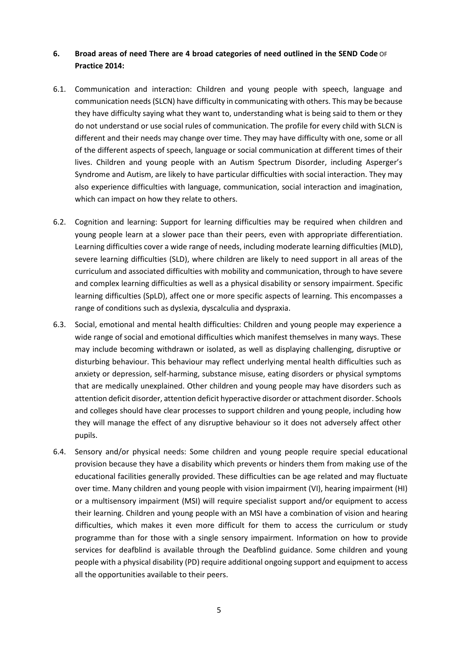#### <span id="page-4-0"></span>**6. Broad areas of need There are 4 broad categories of need outlined in the SEND Code** OF **Practice 2014:**

- 6.1. Communication and interaction: Children and young people with speech, language and communication needs (SLCN) have difficulty in communicating with others. This may be because they have difficulty saying what they want to, understanding what is being said to them or they do not understand or use social rules of communication. The profile for every child with SLCN is different and their needs may change over time. They may have difficulty with one, some or all of the different aspects of speech, language or social communication at different times of their lives. Children and young people with an Autism Spectrum Disorder, including Asperger's Syndrome and Autism, are likely to have particular difficulties with social interaction. They may also experience difficulties with language, communication, social interaction and imagination, which can impact on how they relate to others.
- 6.2. Cognition and learning: Support for learning difficulties may be required when children and young people learn at a slower pace than their peers, even with appropriate differentiation. Learning difficulties cover a wide range of needs, including moderate learning difficulties (MLD), severe learning difficulties (SLD), where children are likely to need support in all areas of the curriculum and associated difficulties with mobility and communication, through to have severe and complex learning difficulties as well as a physical disability or sensory impairment. Specific learning difficulties (SpLD), affect one or more specific aspects of learning. This encompasses a range of conditions such as dyslexia, dyscalculia and dyspraxia.
- 6.3. Social, emotional and mental health difficulties: Children and young people may experience a wide range of social and emotional difficulties which manifest themselves in many ways. These may include becoming withdrawn or isolated, as well as displaying challenging, disruptive or disturbing behaviour. This behaviour may reflect underlying mental health difficulties such as anxiety or depression, self-harming, substance misuse, eating disorders or physical symptoms that are medically unexplained. Other children and young people may have disorders such as attention deficit disorder, attention deficit hyperactive disorder or attachment disorder. Schools and colleges should have clear processes to support children and young people, including how they will manage the effect of any disruptive behaviour so it does not adversely affect other pupils.
- 6.4. Sensory and/or physical needs: Some children and young people require special educational provision because they have a disability which prevents or hinders them from making use of the educational facilities generally provided. These difficulties can be age related and may fluctuate over time. Many children and young people with vision impairment (VI), hearing impairment (HI) or a multisensory impairment (MSI) will require specialist support and/or equipment to access their learning. Children and young people with an MSI have a combination of vision and hearing difficulties, which makes it even more difficult for them to access the curriculum or study programme than for those with a single sensory impairment. Information on how to provide services for deafblind is available through the Deafblind guidance. Some children and young people with a physical disability (PD) require additional ongoing support and equipment to access all the opportunities available to their peers.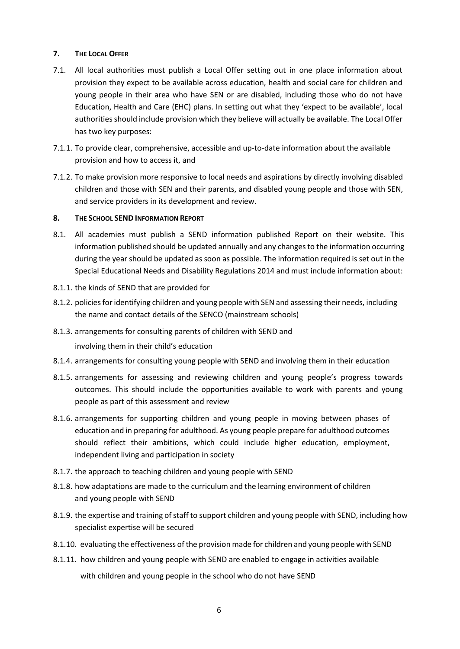#### <span id="page-5-0"></span>**7. THE LOCAL OFFER**

- 7.1. All local authorities must publish a Local Offer setting out in one place information about provision they expect to be available across education, health and social care for children and young people in their area who have SEN or are disabled, including those who do not have Education, Health and Care (EHC) plans. In setting out what they 'expect to be available', local authorities should include provision which they believe will actually be available. The Local Offer has two key purposes:
- 7.1.1. To provide clear, comprehensive, accessible and up-to-date information about the available provision and how to access it, and
- 7.1.2. To make provision more responsive to local needs and aspirations by directly involving disabled children and those with SEN and their parents, and disabled young people and those with SEN, and service providers in its development and review.

#### <span id="page-5-1"></span>**8. THE SCHOOL SEND INFORMATION REPORT**

- 8.1. All academies must publish a SEND information published Report on their website. This information published should be updated annually and any changes to the information occurring during the year should be updated as soon as possible. The information required is set out in the Special Educational Needs and Disability Regulations 2014 and must include information about:
- 8.1.1. the kinds of SEND that are provided for
- 8.1.2. policies for identifying children and young people with SEN and assessing their needs, including the name and contact details of the SENCO (mainstream schools)
- 8.1.3. arrangements for consulting parents of children with SEND and involving them in their child's education
- 8.1.4. arrangements for consulting young people with SEND and involving them in their education
- 8.1.5. arrangements for assessing and reviewing children and young people's progress towards outcomes. This should include the opportunities available to work with parents and young people as part of this assessment and review
- 8.1.6. arrangements for supporting children and young people in moving between phases of education and in preparing for adulthood. As young people prepare for adulthood outcomes should reflect their ambitions, which could include higher education, employment, independent living and participation in society
- 8.1.7. the approach to teaching children and young people with SEND
- 8.1.8. how adaptations are made to the curriculum and the learning environment of children and young people with SEND
- 8.1.9. the expertise and training of staff to support children and young people with SEND, including how specialist expertise will be secured
- 8.1.10. evaluating the effectiveness of the provision made for children and young people with SEND
- 8.1.11. how children and young people with SEND are enabled to engage in activities available with children and young people in the school who do not have SEND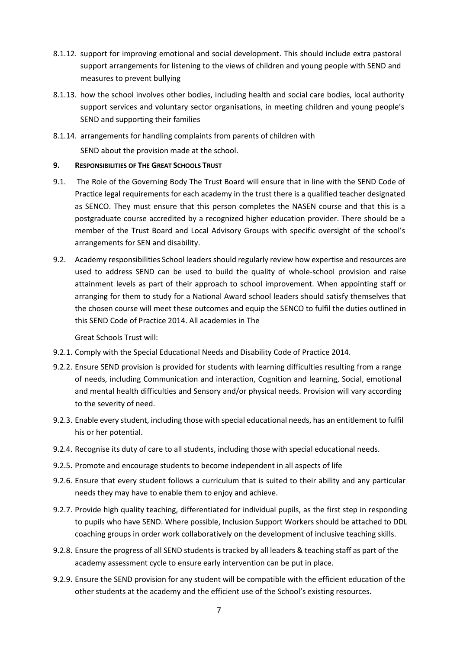- 8.1.12. support for improving emotional and social development. This should include extra pastoral support arrangements for listening to the views of children and young people with SEND and measures to prevent bullying
- 8.1.13. how the school involves other bodies, including health and social care bodies, local authority support services and voluntary sector organisations, in meeting children and young people's SEND and supporting their families
- 8.1.14. arrangements for handling complaints from parents of children with

SEND about the provision made at the school.

#### <span id="page-6-0"></span>**9. RESPONSIBILITIES OF THE GREAT SCHOOLS TRUST**

- 9.1. The Role of the Governing Body The Trust Board will ensure that in line with the SEND Code of Practice legal requirements for each academy in the trust there is a qualified teacher designated as SENCO. They must ensure that this person completes the NASEN course and that this is a postgraduate course accredited by a recognized higher education provider. There should be a member of the Trust Board and Local Advisory Groups with specific oversight of the school's arrangements for SEN and disability.
- 9.2. Academy responsibilities School leaders should regularly review how expertise and resources are used to address SEND can be used to build the quality of whole-school provision and raise attainment levels as part of their approach to school improvement. When appointing staff or arranging for them to study for a National Award school leaders should satisfy themselves that the chosen course will meet these outcomes and equip the SENCO to fulfil the duties outlined in this SEND Code of Practice 2014. All academies in The

Great Schools Trust will:

- 9.2.1. Comply with the Special Educational Needs and Disability Code of Practice 2014.
- 9.2.2. Ensure SEND provision is provided for students with learning difficulties resulting from a range of needs, including Communication and interaction, Cognition and learning, Social, emotional and mental health difficulties and Sensory and/or physical needs. Provision will vary according to the severity of need.
- 9.2.3. Enable every student, including those with special educational needs, has an entitlement to fulfil his or her potential.
- 9.2.4. Recognise its duty of care to all students, including those with special educational needs.
- 9.2.5. Promote and encourage students to become independent in all aspects of life
- 9.2.6. Ensure that every student follows a curriculum that is suited to their ability and any particular needs they may have to enable them to enjoy and achieve.
- 9.2.7. Provide high quality teaching, differentiated for individual pupils, as the first step in responding to pupils who have SEND. Where possible, Inclusion Support Workers should be attached to DDL coaching groups in order work collaboratively on the development of inclusive teaching skills.
- 9.2.8. Ensure the progress of all SEND students is tracked by all leaders & teaching staff as part of the academy assessment cycle to ensure early intervention can be put in place.
- 9.2.9. Ensure the SEND provision for any student will be compatible with the efficient education of the other students at the academy and the efficient use of the School's existing resources.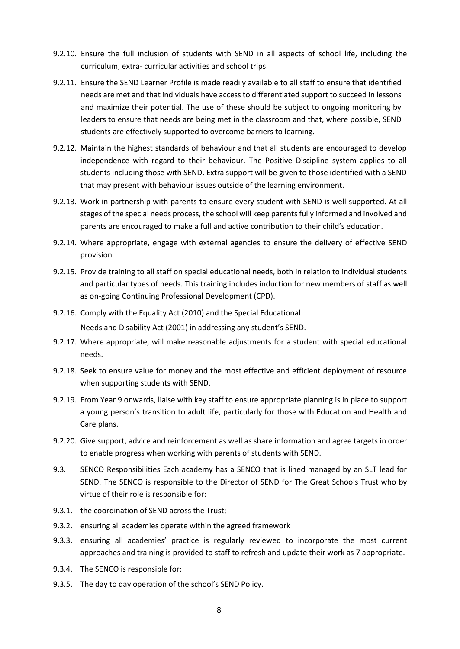- 9.2.10. Ensure the full inclusion of students with SEND in all aspects of school life, including the curriculum, extra- curricular activities and school trips.
- 9.2.11. Ensure the SEND Learner Profile is made readily available to all staff to ensure that identified needs are met and that individuals have access to differentiated support to succeed in lessons and maximize their potential. The use of these should be subject to ongoing monitoring by leaders to ensure that needs are being met in the classroom and that, where possible, SEND students are effectively supported to overcome barriers to learning.
- 9.2.12. Maintain the highest standards of behaviour and that all students are encouraged to develop independence with regard to their behaviour. The Positive Discipline system applies to all students including those with SEND. Extra support will be given to those identified with a SEND that may present with behaviour issues outside of the learning environment.
- 9.2.13. Work in partnership with parents to ensure every student with SEND is well supported. At all stages of the special needs process, the school will keep parents fully informed and involved and parents are encouraged to make a full and active contribution to their child's education.
- 9.2.14. Where appropriate, engage with external agencies to ensure the delivery of effective SEND provision.
- 9.2.15. Provide training to all staff on special educational needs, both in relation to individual students and particular types of needs. This training includes induction for new members of staff as well as on-going Continuing Professional Development (CPD).
- 9.2.16. Comply with the Equality Act (2010) and the Special Educational Needs and Disability Act (2001) in addressing any student's SEND.
- 9.2.17. Where appropriate, will make reasonable adjustments for a student with special educational needs.
- 9.2.18. Seek to ensure value for money and the most effective and efficient deployment of resource when supporting students with SEND.
- 9.2.19. From Year 9 onwards, liaise with key staff to ensure appropriate planning is in place to support a young person's transition to adult life, particularly for those with Education and Health and Care plans.
- 9.2.20. Give support, advice and reinforcement as well as share information and agree targets in order to enable progress when working with parents of students with SEND.
- 9.3. SENCO Responsibilities Each academy has a SENCO that is lined managed by an SLT lead for SEND. The SENCO is responsible to the Director of SEND for The Great Schools Trust who by virtue of their role is responsible for:
- 9.3.1. the coordination of SEND across the Trust;
- 9.3.2. ensuring all academies operate within the agreed framework
- 9.3.3. ensuring all academies' practice is regularly reviewed to incorporate the most current approaches and training is provided to staff to refresh and update their work as 7 appropriate.
- 9.3.4. The SENCO is responsible for:
- 9.3.5. The day to day operation of the school's SEND Policy.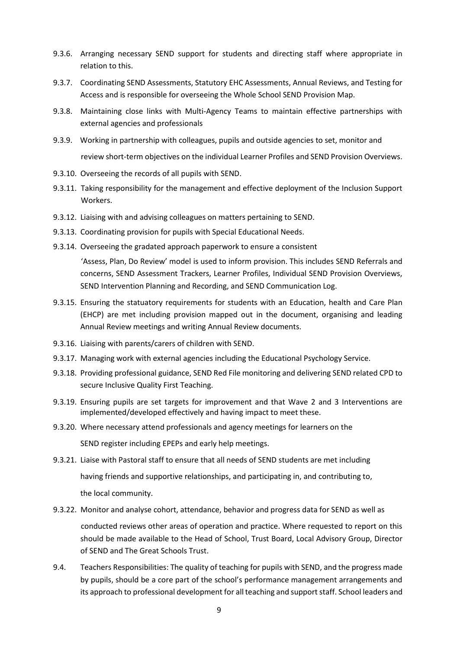- 9.3.6. Arranging necessary SEND support for students and directing staff where appropriate in relation to this.
- 9.3.7. Coordinating SEND Assessments, Statutory EHC Assessments, Annual Reviews, and Testing for Access and is responsible for overseeing the Whole School SEND Provision Map.
- 9.3.8. Maintaining close links with Multi-Agency Teams to maintain effective partnerships with external agencies and professionals
- 9.3.9. Working in partnership with colleagues, pupils and outside agencies to set, monitor and review short-term objectives on the individual Learner Profiles and SEND Provision Overviews.
- 9.3.10. Overseeing the records of all pupils with SEND.
- 9.3.11. Taking responsibility for the management and effective deployment of the Inclusion Support Workers.
- 9.3.12. Liaising with and advising colleagues on matters pertaining to SEND.
- 9.3.13. Coordinating provision for pupils with Special Educational Needs.
- 9.3.14. Overseeing the gradated approach paperwork to ensure a consistent 'Assess, Plan, Do Review' model is used to inform provision. This includes SEND Referrals and concerns, SEND Assessment Trackers, Learner Profiles, Individual SEND Provision Overviews, SEND Intervention Planning and Recording, and SEND Communication Log.
- 9.3.15. Ensuring the statuatory requirements for students with an Education, health and Care Plan (EHCP) are met including provision mapped out in the document, organising and leading Annual Review meetings and writing Annual Review documents.
- 9.3.16. Liaising with parents/carers of children with SEND.
- 9.3.17. Managing work with external agencies including the Educational Psychology Service.
- 9.3.18. Providing professional guidance, SEND Red File monitoring and delivering SEND related CPD to secure Inclusive Quality First Teaching.
- 9.3.19. Ensuring pupils are set targets for improvement and that Wave 2 and 3 Interventions are implemented/developed effectively and having impact to meet these.
- 9.3.20. Where necessary attend professionals and agency meetings for learners on the

SEND register including EPEPs and early help meetings.

- 9.3.21. Liaise with Pastoral staff to ensure that all needs of SEND students are met including having friends and supportive relationships, and participating in, and contributing to, the local community.
- 9.3.22. Monitor and analyse cohort, attendance, behavior and progress data for SEND as well as conducted reviews other areas of operation and practice. Where requested to report on this should be made available to the Head of School, Trust Board, Local Advisory Group, Director of SEND and The Great Schools Trust.
- 9.4. Teachers Responsibilities: The quality of teaching for pupils with SEND, and the progress made by pupils, should be a core part of the school's performance management arrangements and its approach to professional development for all teaching and support staff. School leaders and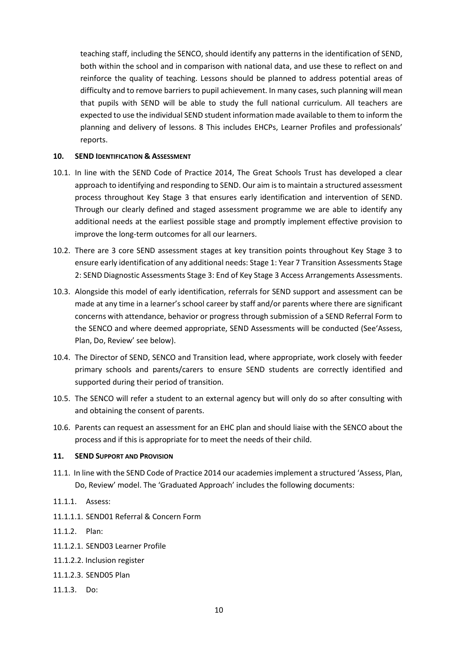teaching staff, including the SENCO, should identify any patterns in the identification of SEND, both within the school and in comparison with national data, and use these to reflect on and reinforce the quality of teaching. Lessons should be planned to address potential areas of difficulty and to remove barriers to pupil achievement. In many cases, such planning will mean that pupils with SEND will be able to study the full national curriculum. All teachers are expected to use the individual SEND student information made available to them to inform the planning and delivery of lessons. 8 This includes EHCPs, Learner Profiles and professionals' reports.

#### <span id="page-9-0"></span>**10. SEND IDENTIFICATION & ASSESSMENT**

- 10.1. In line with the SEND Code of Practice 2014, The Great Schools Trust has developed a clear approach to identifying and responding to SEND. Our aim is to maintain a structured assessment process throughout Key Stage 3 that ensures early identification and intervention of SEND. Through our clearly defined and staged assessment programme we are able to identify any additional needs at the earliest possible stage and promptly implement effective provision to improve the long-term outcomes for all our learners.
- 10.2. There are 3 core SEND assessment stages at key transition points throughout Key Stage 3 to ensure early identification of any additional needs: Stage 1: Year 7 Transition Assessments Stage 2: SEND Diagnostic Assessments Stage 3: End of Key Stage 3 Access Arrangements Assessments.
- 10.3. Alongside this model of early identification, referrals for SEND support and assessment can be made at any time in a learner's school career by staff and/or parents where there are significant concerns with attendance, behavior or progress through submission of a SEND Referral Form to the SENCO and where deemed appropriate, SEND Assessments will be conducted (See'Assess, Plan, Do, Review' see below).
- 10.4. The Director of SEND, SENCO and Transition lead, where appropriate, work closely with feeder primary schools and parents/carers to ensure SEND students are correctly identified and supported during their period of transition.
- 10.5. The SENCO will refer a student to an external agency but will only do so after consulting with and obtaining the consent of parents.
- 10.6. Parents can request an assessment for an EHC plan and should liaise with the SENCO about the process and if this is appropriate for to meet the needs of their child.

#### <span id="page-9-1"></span>**11. SEND SUPPORT AND PROVISION**

- 11.1. In line with the SEND Code of Practice 2014 our academies implement a structured 'Assess, Plan, Do, Review' model. The 'Graduated Approach' includes the following documents:
- 11.1.1. Assess:
- 11.1.1.1. SEND01 Referral & Concern Form
- 11.1.2. Plan:
- 11.1.2.1. SEND03 Learner Profile
- 11.1.2.2. Inclusion register
- 11.1.2.3. SEND05 Plan
- 11.1.3. Do: